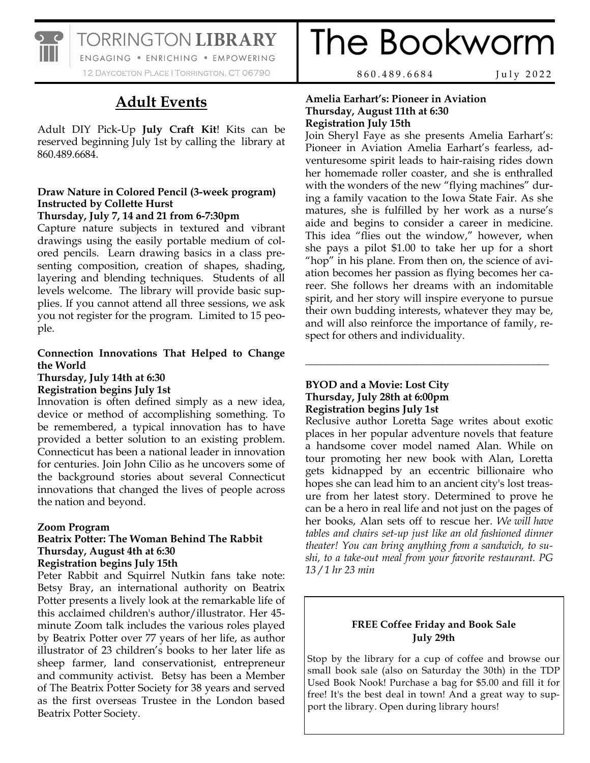

TORRINGTON LIBRARY

ENGAGING . ENRICHING . EMPOWERING 12 DAYCOETON PLACE | TORRINGTON, CT 06790

# **Adult Events**

Adult DIY Pick-Up **July Craft Kit**! Kits can be reserved beginning July 1st by calling the library at 860.489.6684.

# **Draw Nature in Colored Pencil (3-week program) Instructed by Collette Hurst**

# **Thursday, July 7, 14 and 21 from 6-7:30pm**

Capture nature subjects in textured and vibrant drawings using the easily portable medium of colored pencils. Learn drawing basics in a class presenting composition, creation of shapes, shading, layering and blending techniques. Students of all levels welcome. The library will provide basic supplies. If you cannot attend all three sessions, we ask you not register for the program. Limited to 15 people.

# **Connection Innovations That Helped to Change the World**

# **Thursday, July 14th at 6:30**

**Registration begins July 1st** 

Innovation is often defined simply as a new idea, device or method of accomplishing something. To be remembered, a typical innovation has to have provided a better solution to an existing problem. Connecticut has been a national leader in innovation for centuries. Join John Cilio as he uncovers some of the background stories about several Connecticut innovations that changed the lives of people across the nation and beyond.

# **Zoom Program**

## **Beatrix Potter: The Woman Behind The Rabbit Thursday, August 4th at 6:30 Registration begins July 15th**

Peter Rabbit and Squirrel Nutkin fans take note: Betsy Bray, an international authority on Beatrix Potter presents a lively look at the remarkable life of this acclaimed children's author/illustrator. Her 45 minute Zoom talk includes the various roles played by Beatrix Potter over 77 years of her life, as author illustrator of 23 children's books to her later life as sheep farmer, land conservationist, entrepreneur and community activist. Betsy has been a Member of The Beatrix Potter Society for 38 years and served as the first overseas Trustee in the London based Beatrix Potter Society.

The Bookworm

8 6 0 . 4 8 9 . 6 6 8 4 J u l y 2 0 2 2

## **Amelia Earhart's: Pioneer in Aviation Thursday, August 11th at 6:30 Registration July 15th**

Join Sheryl Faye as she presents Amelia Earhart's: Pioneer in Aviation Amelia Earhart's fearless, adventuresome spirit leads to hair-raising rides down her homemade roller coaster, and she is enthralled with the wonders of the new "flying machines" during a family vacation to the Iowa State Fair. As she matures, she is fulfilled by her work as a nurse's aide and begins to consider a career in medicine. This idea "flies out the window," however, when she pays a pilot \$1.00 to take her up for a short "hop" in his plane. From then on, the science of aviation becomes her passion as flying becomes her career. She follows her dreams with an indomitable spirit, and her story will inspire everyone to pursue their own budding interests, whatever they may be, and will also reinforce the importance of family, respect for others and individuality.

**\_\_\_\_\_\_\_\_\_\_\_\_\_\_\_\_\_\_\_\_\_\_\_\_\_\_\_\_\_\_\_\_\_\_\_\_\_\_\_\_\_\_\_\_\_\_**

# **BYOD and a Movie: Lost City Thursday, July 28th at 6:00pm Registration begins July 1st**

Reclusive author Loretta Sage writes about exotic places in her popular adventure novels that feature a handsome cover model named Alan. While on tour promoting her new book with Alan, Loretta gets kidnapped by an eccentric billionaire who hopes she can lead him to an ancient city's lost treasure from her latest story. Determined to prove he can be a hero in real life and not just on the pages of her books, Alan sets off to rescue her. *We will have tables and chairs set-up just like an old fashioned dinner theater! You can bring anything from a sandwich, to sushi, to a take-out meal from your favorite restaurant. PG 13 / 1 hr 23 min*

# **FREE Coffee Friday and Book Sale July 29th**

Stop by the library for a cup of coffee and browse our small book sale (also on Saturday the 30th) in the TDP Used Book Nook! Purchase a bag for \$5.00 and fill it for free! It's the best deal in town! And a great way to support the library. Open during library hours!